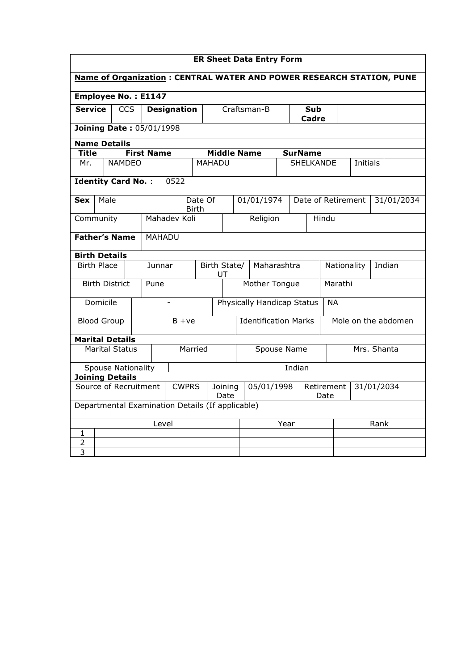| <b>Name of Organization: CENTRAL WATER AND POWER RESEARCH STATION, PUNE</b><br><b>Employee No.: E1147</b><br><b>Service</b><br><b>CCS</b><br>Craftsman-B<br><b>Designation</b><br>Sub<br>Cadre<br><b>Joining Date: 05/01/1998</b><br><b>Name Details</b><br><b>First Name</b><br><b>Middle Name</b><br>Title<br><b>SurName</b><br><b>NAMDEO</b><br><b>SHELKANDE</b><br><b>MAHADU</b><br>Mr.<br>Initials<br><b>Identity Card No.:</b><br>0522<br>01/01/1974<br>Male<br>Date Of<br>Date of Retirement<br>31/01/2034<br><b>Sex</b><br><b>Birth</b><br>Mahadev Koli<br>Religion<br>Community<br>Hindu<br><b>Father's Name</b><br>MAHADU<br><b>Birth Details</b><br><b>Birth Place</b><br>Junnar<br>Maharashtra<br>Indian<br>Birth State/<br>Nationality<br>UT<br>Mother Tongue<br>Marathi<br><b>Birth District</b><br>Pune<br>Physically Handicap Status<br>Domicile<br><b>NA</b><br><b>Identification Marks</b><br>Mole on the abdomen<br><b>Blood Group</b><br>$B + ve$<br><b>Marital Details</b><br><b>Marital Status</b><br>Mrs. Shanta<br>Married<br>Spouse Name<br>Indian<br><b>Spouse Nationality</b><br><b>Joining Details</b><br>Source of Recruitment<br>05/01/1998<br><b>CWPRS</b><br>Joining<br>Retirement<br>31/01/2034<br>Date<br>Date<br>Departmental Examination Details (If applicable)<br>Level<br>Rank<br>Year<br>1<br>2 | <b>ER Sheet Data Entry Form</b> |  |  |  |  |  |  |  |  |  |  |  |  |  |  |  |  |  |
|-----------------------------------------------------------------------------------------------------------------------------------------------------------------------------------------------------------------------------------------------------------------------------------------------------------------------------------------------------------------------------------------------------------------------------------------------------------------------------------------------------------------------------------------------------------------------------------------------------------------------------------------------------------------------------------------------------------------------------------------------------------------------------------------------------------------------------------------------------------------------------------------------------------------------------------------------------------------------------------------------------------------------------------------------------------------------------------------------------------------------------------------------------------------------------------------------------------------------------------------------------------------------------------------------------------------------------------------|---------------------------------|--|--|--|--|--|--|--|--|--|--|--|--|--|--|--|--|--|
|                                                                                                                                                                                                                                                                                                                                                                                                                                                                                                                                                                                                                                                                                                                                                                                                                                                                                                                                                                                                                                                                                                                                                                                                                                                                                                                                         |                                 |  |  |  |  |  |  |  |  |  |  |  |  |  |  |  |  |  |
|                                                                                                                                                                                                                                                                                                                                                                                                                                                                                                                                                                                                                                                                                                                                                                                                                                                                                                                                                                                                                                                                                                                                                                                                                                                                                                                                         |                                 |  |  |  |  |  |  |  |  |  |  |  |  |  |  |  |  |  |
|                                                                                                                                                                                                                                                                                                                                                                                                                                                                                                                                                                                                                                                                                                                                                                                                                                                                                                                                                                                                                                                                                                                                                                                                                                                                                                                                         |                                 |  |  |  |  |  |  |  |  |  |  |  |  |  |  |  |  |  |
|                                                                                                                                                                                                                                                                                                                                                                                                                                                                                                                                                                                                                                                                                                                                                                                                                                                                                                                                                                                                                                                                                                                                                                                                                                                                                                                                         |                                 |  |  |  |  |  |  |  |  |  |  |  |  |  |  |  |  |  |
|                                                                                                                                                                                                                                                                                                                                                                                                                                                                                                                                                                                                                                                                                                                                                                                                                                                                                                                                                                                                                                                                                                                                                                                                                                                                                                                                         |                                 |  |  |  |  |  |  |  |  |  |  |  |  |  |  |  |  |  |
|                                                                                                                                                                                                                                                                                                                                                                                                                                                                                                                                                                                                                                                                                                                                                                                                                                                                                                                                                                                                                                                                                                                                                                                                                                                                                                                                         |                                 |  |  |  |  |  |  |  |  |  |  |  |  |  |  |  |  |  |
|                                                                                                                                                                                                                                                                                                                                                                                                                                                                                                                                                                                                                                                                                                                                                                                                                                                                                                                                                                                                                                                                                                                                                                                                                                                                                                                                         |                                 |  |  |  |  |  |  |  |  |  |  |  |  |  |  |  |  |  |
|                                                                                                                                                                                                                                                                                                                                                                                                                                                                                                                                                                                                                                                                                                                                                                                                                                                                                                                                                                                                                                                                                                                                                                                                                                                                                                                                         |                                 |  |  |  |  |  |  |  |  |  |  |  |  |  |  |  |  |  |
|                                                                                                                                                                                                                                                                                                                                                                                                                                                                                                                                                                                                                                                                                                                                                                                                                                                                                                                                                                                                                                                                                                                                                                                                                                                                                                                                         |                                 |  |  |  |  |  |  |  |  |  |  |  |  |  |  |  |  |  |
|                                                                                                                                                                                                                                                                                                                                                                                                                                                                                                                                                                                                                                                                                                                                                                                                                                                                                                                                                                                                                                                                                                                                                                                                                                                                                                                                         |                                 |  |  |  |  |  |  |  |  |  |  |  |  |  |  |  |  |  |
|                                                                                                                                                                                                                                                                                                                                                                                                                                                                                                                                                                                                                                                                                                                                                                                                                                                                                                                                                                                                                                                                                                                                                                                                                                                                                                                                         |                                 |  |  |  |  |  |  |  |  |  |  |  |  |  |  |  |  |  |
|                                                                                                                                                                                                                                                                                                                                                                                                                                                                                                                                                                                                                                                                                                                                                                                                                                                                                                                                                                                                                                                                                                                                                                                                                                                                                                                                         |                                 |  |  |  |  |  |  |  |  |  |  |  |  |  |  |  |  |  |
|                                                                                                                                                                                                                                                                                                                                                                                                                                                                                                                                                                                                                                                                                                                                                                                                                                                                                                                                                                                                                                                                                                                                                                                                                                                                                                                                         |                                 |  |  |  |  |  |  |  |  |  |  |  |  |  |  |  |  |  |
|                                                                                                                                                                                                                                                                                                                                                                                                                                                                                                                                                                                                                                                                                                                                                                                                                                                                                                                                                                                                                                                                                                                                                                                                                                                                                                                                         |                                 |  |  |  |  |  |  |  |  |  |  |  |  |  |  |  |  |  |
|                                                                                                                                                                                                                                                                                                                                                                                                                                                                                                                                                                                                                                                                                                                                                                                                                                                                                                                                                                                                                                                                                                                                                                                                                                                                                                                                         |                                 |  |  |  |  |  |  |  |  |  |  |  |  |  |  |  |  |  |
|                                                                                                                                                                                                                                                                                                                                                                                                                                                                                                                                                                                                                                                                                                                                                                                                                                                                                                                                                                                                                                                                                                                                                                                                                                                                                                                                         |                                 |  |  |  |  |  |  |  |  |  |  |  |  |  |  |  |  |  |
|                                                                                                                                                                                                                                                                                                                                                                                                                                                                                                                                                                                                                                                                                                                                                                                                                                                                                                                                                                                                                                                                                                                                                                                                                                                                                                                                         |                                 |  |  |  |  |  |  |  |  |  |  |  |  |  |  |  |  |  |
|                                                                                                                                                                                                                                                                                                                                                                                                                                                                                                                                                                                                                                                                                                                                                                                                                                                                                                                                                                                                                                                                                                                                                                                                                                                                                                                                         |                                 |  |  |  |  |  |  |  |  |  |  |  |  |  |  |  |  |  |
|                                                                                                                                                                                                                                                                                                                                                                                                                                                                                                                                                                                                                                                                                                                                                                                                                                                                                                                                                                                                                                                                                                                                                                                                                                                                                                                                         |                                 |  |  |  |  |  |  |  |  |  |  |  |  |  |  |  |  |  |
|                                                                                                                                                                                                                                                                                                                                                                                                                                                                                                                                                                                                                                                                                                                                                                                                                                                                                                                                                                                                                                                                                                                                                                                                                                                                                                                                         |                                 |  |  |  |  |  |  |  |  |  |  |  |  |  |  |  |  |  |
|                                                                                                                                                                                                                                                                                                                                                                                                                                                                                                                                                                                                                                                                                                                                                                                                                                                                                                                                                                                                                                                                                                                                                                                                                                                                                                                                         |                                 |  |  |  |  |  |  |  |  |  |  |  |  |  |  |  |  |  |
|                                                                                                                                                                                                                                                                                                                                                                                                                                                                                                                                                                                                                                                                                                                                                                                                                                                                                                                                                                                                                                                                                                                                                                                                                                                                                                                                         |                                 |  |  |  |  |  |  |  |  |  |  |  |  |  |  |  |  |  |
|                                                                                                                                                                                                                                                                                                                                                                                                                                                                                                                                                                                                                                                                                                                                                                                                                                                                                                                                                                                                                                                                                                                                                                                                                                                                                                                                         |                                 |  |  |  |  |  |  |  |  |  |  |  |  |  |  |  |  |  |
|                                                                                                                                                                                                                                                                                                                                                                                                                                                                                                                                                                                                                                                                                                                                                                                                                                                                                                                                                                                                                                                                                                                                                                                                                                                                                                                                         |                                 |  |  |  |  |  |  |  |  |  |  |  |  |  |  |  |  |  |
|                                                                                                                                                                                                                                                                                                                                                                                                                                                                                                                                                                                                                                                                                                                                                                                                                                                                                                                                                                                                                                                                                                                                                                                                                                                                                                                                         | 3                               |  |  |  |  |  |  |  |  |  |  |  |  |  |  |  |  |  |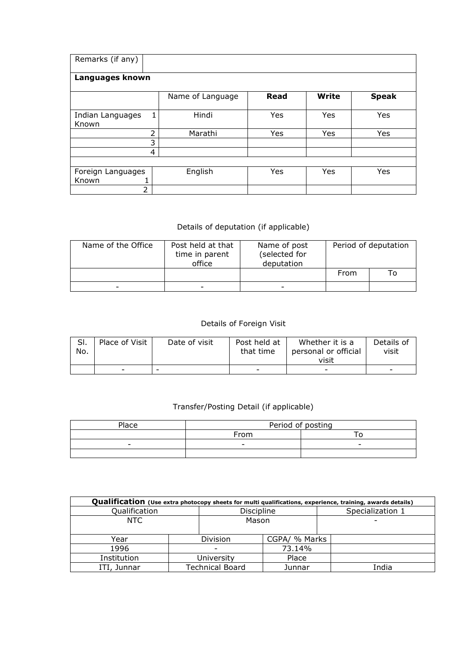| Remarks (if any)                |                  |      |              |              |  |  |  |  |  |  |  |
|---------------------------------|------------------|------|--------------|--------------|--|--|--|--|--|--|--|
| Languages known                 |                  |      |              |              |  |  |  |  |  |  |  |
|                                 | Name of Language | Read | <b>Write</b> | <b>Speak</b> |  |  |  |  |  |  |  |
| Indian Languages<br>1<br>Known  | Hindi            | Yes  | Yes          | Yes          |  |  |  |  |  |  |  |
| フ                               | Marathi          | Yes  | Yes          | Yes          |  |  |  |  |  |  |  |
| 3                               |                  |      |              |              |  |  |  |  |  |  |  |
| 4                               |                  |      |              |              |  |  |  |  |  |  |  |
|                                 |                  |      |              |              |  |  |  |  |  |  |  |
| Foreign Languages<br>Known<br>T | English          | Yes  | Yes          | Yes          |  |  |  |  |  |  |  |
| 2                               |                  |      |              |              |  |  |  |  |  |  |  |

## Details of deputation (if applicable)

| Name of the Office | Post held at that<br>time in parent<br>office | Name of post<br>(selected for<br>deputation | Period of deputation |    |  |  |
|--------------------|-----------------------------------------------|---------------------------------------------|----------------------|----|--|--|
|                    |                                               |                                             | From                 | То |  |  |
| -                  | $\overline{\phantom{a}}$                      |                                             |                      |    |  |  |

## Details of Foreign Visit

| SI. | Place of Visit           | Date of visit | Post held at             | Whether it is a          | Details of |
|-----|--------------------------|---------------|--------------------------|--------------------------|------------|
| No. |                          |               | that time                | personal or official     | visit      |
|     |                          |               |                          | visit                    |            |
|     | $\overline{\phantom{a}}$ | -             | $\overline{\phantom{a}}$ | $\overline{\phantom{a}}$ | -          |

## Transfer/Posting Detail (if applicable)

| Place | Period of posting        |                          |  |  |  |  |  |
|-------|--------------------------|--------------------------|--|--|--|--|--|
|       | From                     |                          |  |  |  |  |  |
| -     | $\overline{\phantom{0}}$ | $\overline{\phantom{0}}$ |  |  |  |  |  |
|       |                          |                          |  |  |  |  |  |

| Qualification (Use extra photocopy sheets for multi qualifications, experience, training, awards details) |            |                        |               |  |                  |  |  |  |  |  |
|-----------------------------------------------------------------------------------------------------------|------------|------------------------|---------------|--|------------------|--|--|--|--|--|
| Qualification                                                                                             |            | Discipline             |               |  | Specialization 1 |  |  |  |  |  |
| NTC.                                                                                                      |            | Mason                  |               |  |                  |  |  |  |  |  |
| Year                                                                                                      |            |                        | CGPA/ % Marks |  |                  |  |  |  |  |  |
| 1996                                                                                                      |            |                        | 73.14%        |  |                  |  |  |  |  |  |
| Institution                                                                                               | University |                        | Place         |  |                  |  |  |  |  |  |
| ITI, Junnar                                                                                               |            | <b>Technical Board</b> | Junnar        |  | India            |  |  |  |  |  |